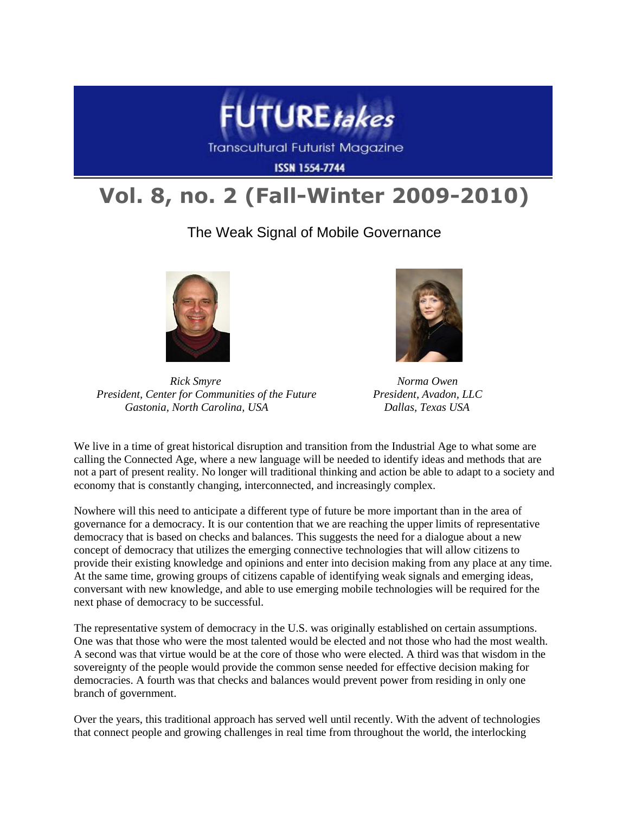

**Transcultural Futurist Magazine** 

**ISSN 1554-7744** 

## **Vol. 8, no. 2 (Fall-Winter 2009-2010)**

The Weak Signal of Mobile Governance



*Rick Smyre* Norma Owen  *President, Center for Communities of the Future President, Avadon, LLC Gastonia, North Carolina, USA Dallas, Texas USA*



We live in a time of great historical disruption and transition from the Industrial Age to what some are calling the Connected Age, where a new language will be needed to identify ideas and methods that are not a part of present reality. No longer will traditional thinking and action be able to adapt to a society and economy that is constantly changing, interconnected, and increasingly complex.

Nowhere will this need to anticipate a different type of future be more important than in the area of governance for a democracy. It is our contention that we are reaching the upper limits of representative democracy that is based on checks and balances. This suggests the need for a dialogue about a new concept of democracy that utilizes the emerging connective technologies that will allow citizens to provide their existing knowledge and opinions and enter into decision making from any place at any time. At the same time, growing groups of citizens capable of identifying weak signals and emerging ideas, conversant with new knowledge, and able to use emerging mobile technologies will be required for the next phase of democracy to be successful.

The representative system of democracy in the U.S. was originally established on certain assumptions. One was that those who were the most talented would be elected and not those who had the most wealth. A second was that virtue would be at the core of those who were elected. A third was that wisdom in the sovereignty of the people would provide the common sense needed for effective decision making for democracies. A fourth was that checks and balances would prevent power from residing in only one branch of government.

Over the years, this traditional approach has served well until recently. With the advent of technologies that connect people and growing challenges in real time from throughout the world, the interlocking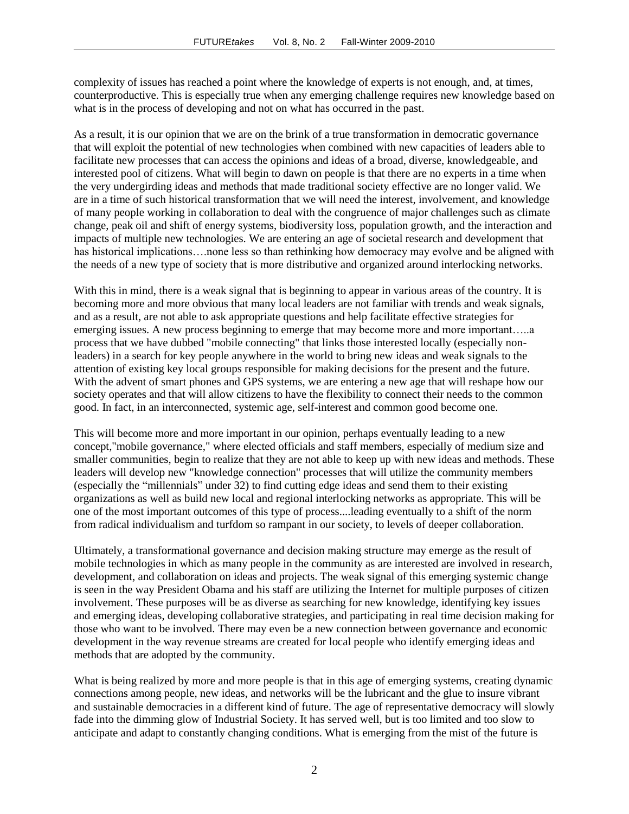complexity of issues has reached a point where the knowledge of experts is not enough, and, at times, counterproductive. This is especially true when any emerging challenge requires new knowledge based on what is in the process of developing and not on what has occurred in the past.

As a result, it is our opinion that we are on the brink of a true transformation in democratic governance that will exploit the potential of new technologies when combined with new capacities of leaders able to facilitate new processes that can access the opinions and ideas of a broad, diverse, knowledgeable, and interested pool of citizens. What will begin to dawn on people is that there are no experts in a time when the very undergirding ideas and methods that made traditional society effective are no longer valid. We are in a time of such historical transformation that we will need the interest, involvement, and knowledge of many people working in collaboration to deal with the congruence of major challenges such as climate change, peak oil and shift of energy systems, biodiversity loss, population growth, and the interaction and impacts of multiple new technologies. We are entering an age of societal research and development that has historical implications....none less so than rethinking how democracy may evolve and be aligned with the needs of a new type of society that is more distributive and organized around interlocking networks.

With this in mind, there is a weak signal that is beginning to appear in various areas of the country. It is becoming more and more obvious that many local leaders are not familiar with trends and weak signals, and as a result, are not able to ask appropriate questions and help facilitate effective strategies for emerging issues. A new process beginning to emerge that may become more and more important…..a process that we have dubbed "mobile connecting" that links those interested locally (especially nonleaders) in a search for key people anywhere in the world to bring new ideas and weak signals to the attention of existing key local groups responsible for making decisions for the present and the future. With the advent of smart phones and GPS systems, we are entering a new age that will reshape how our society operates and that will allow citizens to have the flexibility to connect their needs to the common good. In fact, in an interconnected, systemic age, self-interest and common good become one.

This will become more and more important in our opinion, perhaps eventually leading to a new concept,"mobile governance," where elected officials and staff members, especially of medium size and smaller communities, begin to realize that they are not able to keep up with new ideas and methods. These leaders will develop new "knowledge connection" processes that will utilize the community members (especially the "millennials" under 32) to find cutting edge ideas and send them to their existing organizations as well as build new local and regional interlocking networks as appropriate. This will be one of the most important outcomes of this type of process....leading eventually to a shift of the norm from radical individualism and turfdom so rampant in our society, to levels of deeper collaboration.

Ultimately, a transformational governance and decision making structure may emerge as the result of mobile technologies in which as many people in the community as are interested are involved in research, development, and collaboration on ideas and projects. The weak signal of this emerging systemic change is seen in the way President Obama and his staff are utilizing the Internet for multiple purposes of citizen involvement. These purposes will be as diverse as searching for new knowledge, identifying key issues and emerging ideas, developing collaborative strategies, and participating in real time decision making for those who want to be involved. There may even be a new connection between governance and economic development in the way revenue streams are created for local people who identify emerging ideas and methods that are adopted by the community.

What is being realized by more and more people is that in this age of emerging systems, creating dynamic connections among people, new ideas, and networks will be the lubricant and the glue to insure vibrant and sustainable democracies in a different kind of future. The age of representative democracy will slowly fade into the dimming glow of Industrial Society. It has served well, but is too limited and too slow to anticipate and adapt to constantly changing conditions. What is emerging from the mist of the future is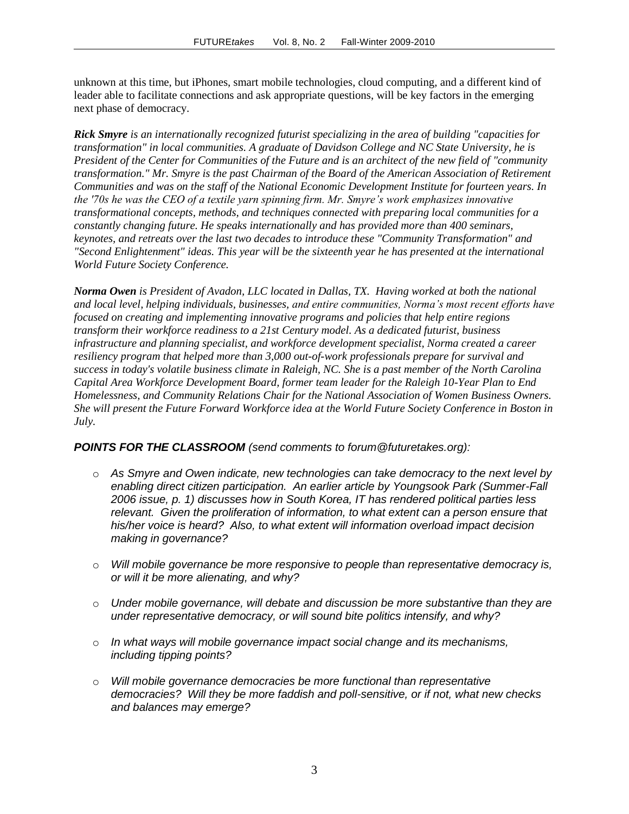unknown at this time, but iPhones, smart mobile technologies, cloud computing, and a different kind of leader able to facilitate connections and ask appropriate questions, will be key factors in the emerging next phase of democracy.

*Rick Smyre is an internationally recognized futurist specializing in the area of building "capacities for transformation" in local communities. A graduate of Davidson College and NC State University, he is President of the Center for Communities of the Future and is an architect of the new field of "community transformation." Mr. Smyre is the past Chairman of the Board of the American Association of Retirement Communities and was on the staff of the National Economic Development Institute for fourteen years. In the '70s he was the CEO of a textile yarn spinning firm. Mr. Smyre's work emphasizes innovative transformational concepts, methods, and techniques connected with preparing local communities for a constantly changing future. He speaks internationally and has provided more than 400 seminars, keynotes, and retreats over the last two decades to introduce these "Community Transformation" and "Second Enlightenment" ideas. This year will be the sixteenth year he has presented at the international World Future Society Conference.*

*Norma Owen is President of Avadon, LLC located in Dallas, TX. Having worked at both the national and local level, helping individuals, businesses, and entire communities, Norma's most recent efforts have focused on creating and implementing innovative programs and policies that help entire regions transform their workforce readiness to a 21st Century model. As a dedicated futurist, business infrastructure and planning specialist, and workforce development specialist, Norma created a career resiliency program that helped more than 3,000 out-of-work professionals prepare for survival and success in today's volatile business climate in Raleigh, NC. She is a past member of the North Carolina Capital Area Workforce Development Board, former team leader for the Raleigh 10-Year Plan to End Homelessness, and Community Relations Chair for the National Association of Women Business Owners. She will present the Future Forward Workforce idea at the World Future Society Conference in Boston in July.*

## *POINTS FOR THE CLASSROOM (send comments to forum@futuretakes.org):*

- o *As Smyre and Owen indicate, new technologies can take democracy to the next level by enabling direct citizen participation. An earlier article by Youngsook Park (Summer-Fall 2006 issue, p. 1) discusses how in South Korea, IT has rendered political parties less relevant. Given the proliferation of information, to what extent can a person ensure that his/her voice is heard? Also, to what extent will information overload impact decision making in governance?*
- o *Will mobile governance be more responsive to people than representative democracy is, or will it be more alienating, and why?*
- o *Under mobile governance, will debate and discussion be more substantive than they are under representative democracy, or will sound bite politics intensify, and why?*
- o *In what ways will mobile governance impact social change and its mechanisms, including tipping points?*
- o *Will mobile governance democracies be more functional than representative democracies? Will they be more faddish and poll-sensitive, or if not, what new checks and balances may emerge?*